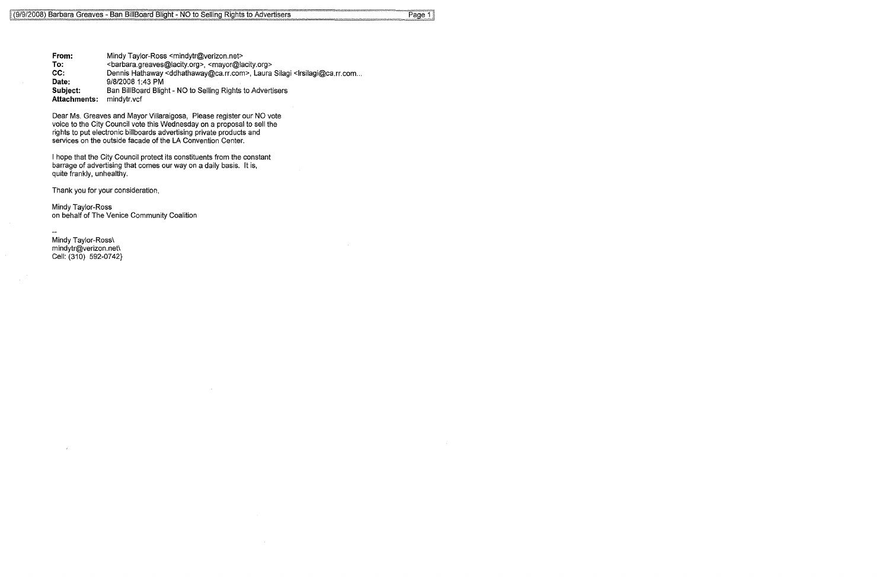**From: To: CC: Date: Subject: Attachments:**  Mindy Taylor-Ross <mindytr@verizon.net> <barbara.greaves@lacity.org>, <mayor@lacity.org> Dennis Hathaway <ddhathaway@ca.rr.com>, Laura Silagi <lrsilagi@ca.rr.com... 9/8/2008 1:43 PM Ban BillBoard Blight - NO to Selling Rights to Advertisers mindytr. vel

Dear Ms. Greaves and Mayor Villaraigosa, Please register our NO vote voice to the City Council vote this Wednesday on a proposal to sell the rights to put electronic billboards advertising private products and services on the outside facade of the LA Convention Center.

I hope that the City Council protect its constituents from the constant barrage of advertising that comes our way on a daily basis. It is, quite frankly, unhealthy,

Thank you for your consideration,

Mindy Taylor-Ross on behalf of The Venice Community Coalition

Mindy Taylor-Ross\ mindytr@verizon.net\ Cell: (310) 592-0742}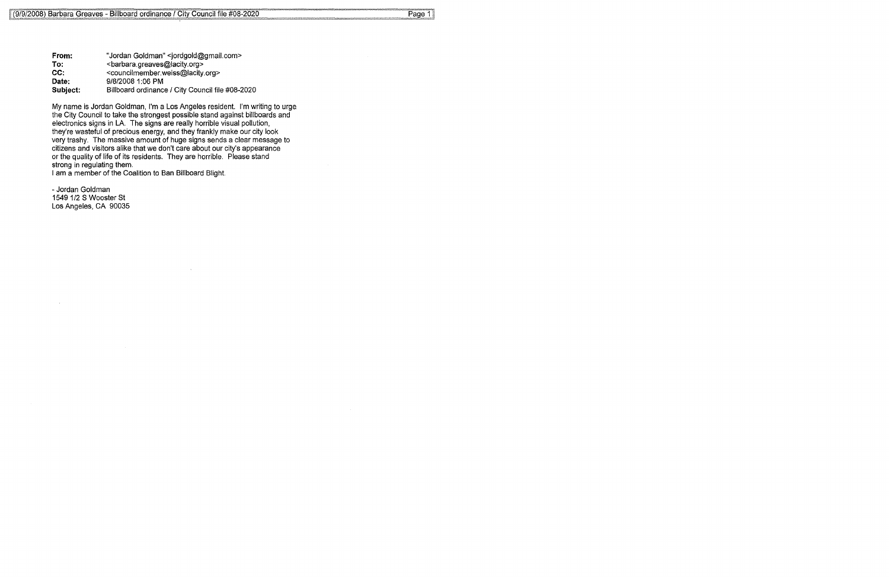**From:**  To: CC: **Date: Subject:**  "Jordan Goldman" <jordgold@gmail.com> <barbara.greaves@lacity.org> <councilmember.weiss@lacity.org> 9/8/2008 1:06 PM Billboard ordinance / City Council file #08-2020

My name is Jordan Goldman, I'm a Los Angeles resident. I'm writing to urge the City Council to take the strongest possible stand against billboards and electronics signs in LA. The signs are really horrible visual pollution, they're wasteful of precious energy, and they frankly make our city look very trashy. The massive amount of huge signs sends a clear message to citizens and visitors alike that we don't care about our city's appearance or the quality of life of its residents. They are horrible. Please stand strong in regulating them.

I am a member of the Coalition to Ban Billboard Blight.

- Jordan Goldman 1549 1/2 S Wooster St Los Angeles, CA 90035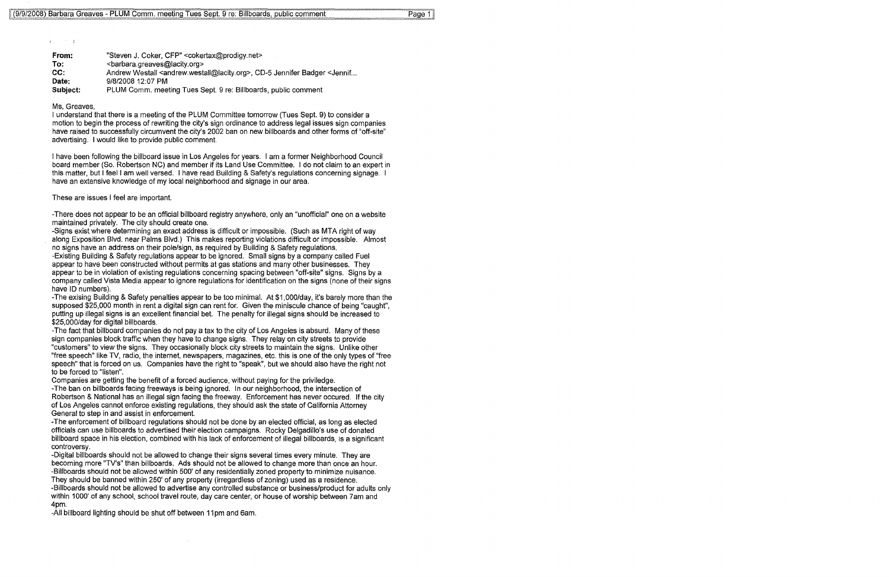$\sqrt{2}$  ,  $\sqrt{2}$ 

| From:    | "Steven J. Coker, CFP" <cokertax@prodigy.net></cokertax@prodigy.net>                                                   |
|----------|------------------------------------------------------------------------------------------------------------------------|
| To:      | <br>starbara.greaves@lacity.org>                                                                                       |
| CC:      | Andrew Westall <andrew.westall@lacity.org>, CD-5 Jennifer Badger <jennif< td=""></jennif<></andrew.westall@lacity.org> |
| Date:    | 9/8/2008 12:07 PM                                                                                                      |
| Subject: | PLUM Comm. meeting Tues Sept. 9 re: Billboards, public comment                                                         |

## Ms, Greaves,

I understand that there is a meeting of the PLUM Committee tomorrow (Tues Sept. 9) to consider a motion to begin the process of rewriting the city's sign ordinance to address legal issues sign companies have raised to successfully circumvent the city's 2002 ban on new billboards and other forms of "off-site" advertising. I would like to provide public comment.

I have been following the billboard issue in Los Angeles for years. I am a former Neighborhood Council board member (So. Robertson NC) and member if its Land Use Committee. I do not claim to an expert in this matter, but I feel I am well versed. I have read Building & Safety's regulations concerning signage. I have an extensive knowledge of my local neighborhood and signage in our area.

These are issues I feel are important.

-There does not appear to be an official billboard registry anywhere, only an "unofficial" one on a website maintained privately. The city should create one.

-Signs exist where determining an exact address is difficult or impossible. (Such as MTA right of way along Exposition Blvd. near Palms Blvd.) This makes reporting violations difficult or impossible. Almost no signs have an address on their pole/sign, as required by Building & Safety regulations.

-Existing Building & Safety regulations appear to be ignored. Small signs by a company called Fuel appear to have been constructed without permits at gas stations and many other businesses. They appear to be in violation of existing regulations concerning spacing between "off-site" signs. Signs by a company called Vista Media appear to ignore regulations for identification on the signs (none of their signs have ID numbers).

-The exising Building & Safety penalties appear to be too minimal. At \$1 ,000/day, it's barely more than the supposed \$25,000 month in rent a digital sign can rent for. Given the miniscule chance of being "caught", putting up illegal signs is an excellent financial bet. The penalty for illegal signs should be increased to \$25,000/day for digital billboards.

-The fact that billboard companies do not pay a tax to the city of Los Angeles is absurd. Many of these sign companies block traffic when they have to change signs. They relay on city streets to provide "customers" to view the signs. They occasionally block city streets to maintain the signs. Unlike other "free speech" like TV, radio, the internet, newspapers, magazines, etc. this is one of the only types of "free speech" that is forced on us. Companies have the right to "speak", but we should also have the right not to be forced to "listen".

Companies are getting the benefit of a forced audience, without paying for the priviledge.

-The ban on billboards facing freeways is being ignored. In our neighborhood, the intersection of Robertson & National has an illegal sign facing the freeway. Enforcement has never occured. If the city of Los Angeles cannot enforce existing regulations, they should ask the state of California Attorney General to step in and assist in enforcement.

-The enforcement of billboard regulations should not be done by an elected official, as long as elected officials can use billboards to advertised their election campaigns. Rocky Delgadillo's use of donated billboard space in his election, combined with his lack of enforcement of illegal billboards, is a significant controversy.

-Digital billboards should not be allowed to change their signs several times every minute. They are becoming more "TV's" than billboards. Ads should not be allowed to change more than once an hour. -Billboards should not be allowed within 500' of any residentially zoned property to minimize nuisance. They should be banned within 250' of any property (irregardless of zoning) used as a residence. -Billboards should not be allowed to advertise any controlled substance or business/product for adults only within 1000' of any school, school travel route, day care center, or house of worship between ?am and 4pm.

-All billboard lighting should be shut off between 11 pm and 6am.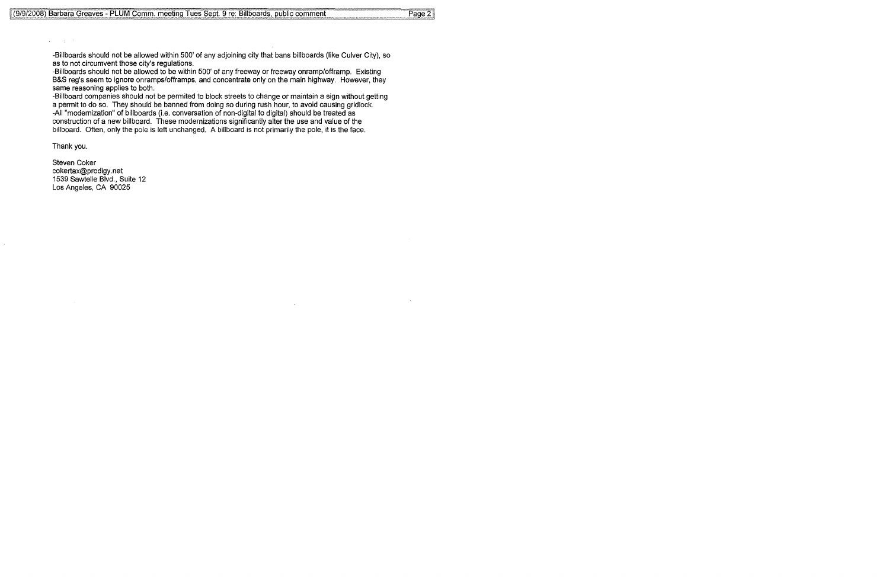-Billboards should not be allowed within 500' of any adjoining city that bans billboards (like Culver City), so as to not circumvent those city's regulations.

-Billboards should not be allowed to be within 500' of any freeway or freeway onramp/offramp. Existing B&S reg's seem to ignore onramps/offramps, and concentrate only on the main highway. However, they same reasoning applies to both.

-Billboard companies should not be permited to block streets to change or maintain a sign without getting a permit to do so. They should be banned from doing so during rush hour, to avoid causing gridlock. -All "modernization" of billboards (i.e. conversation of non-digital to digital) should be treated as construction of a new billboard. These modernizations significantly alter the use and value of the billboard. Often, only the pole is left unchanged. A billboard is not primarily the pole, it is the face.

Thank you.

 $\sim 100$  $\mathbf{r}$ 

> Steven Coker cokertax@prodigy.net 1539 Sawtelle Blvd., Suite 12 Los Angeles, CA 90025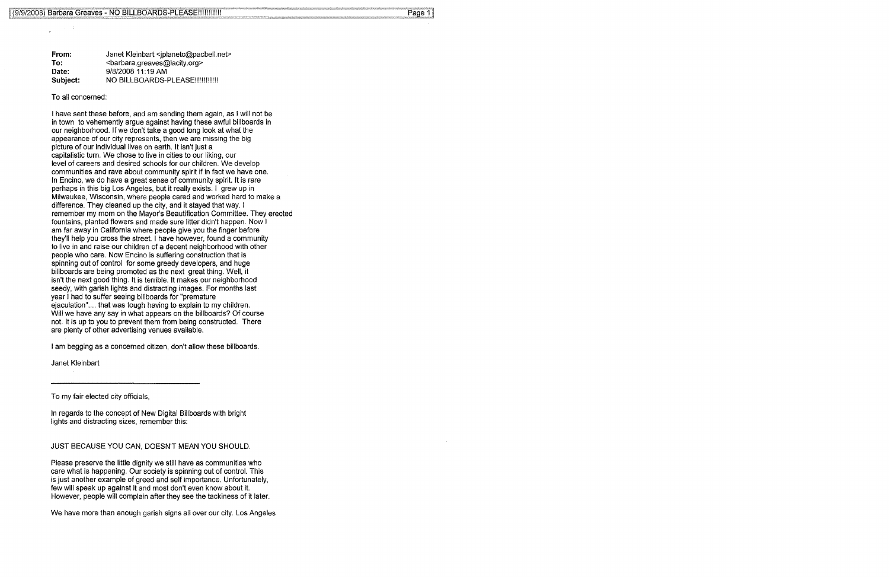| From:    | Janet Kleinbart <iplanetc@pacbell.net></iplanetc@pacbell.net> |
|----------|---------------------------------------------------------------|
| To:      | <br>sharbara.greaves@lacity.org>                              |
| Date:    | 9/8/2008 11:19 AM                                             |
| Subject. | NO BILLBOARDS-PLEASE!!!!!!!!!!!                               |

To all concerned:

I have sent these before, and am sending them again, as I will not be in town to vehemently argue against having these awful billboards in our neighborhood. If we don't take a good long look at what the appearance of our city represents, then we are missing the big picture of our individual lives on earth. It isn't just a capitalistic turn. We chose to live in cities to our liking, our level of careers and desired schools for our children. We develop communities and rave about community spirit if in fact we have one. In Encino, we do have a great sense of community spirit. It is rare perhaps in this big Los Angeles, but it really exists. I grew up in Milwaukee, Wisconsin, where people cared and worked hard to make a difference. They cleaned up the city, and it stayed that way. I remember my mom on the Mayor's Beautification Committee. They erected fountains, planted flowers and made sure litter didn't happen. Now I am far away in California where people give you the finger before they'll help you cross the street. I have however, found a community to live in and raise our children of a decent neighborhood with other people who care. Now Encino is suffering construction that is spinning out of control for some greedy developers, and huge billboards are being promoted as the next great thing. Well, it isn't the next good thing. It is terrible. It makes our neighborhood seedy, with garish lights and distracting images. For months last year I had to suffer seeing billboards for "premature ejaculation".... that was tough having to explain to my children. Will we have any say in what appears on the billboards? Of course not. It is up to you to prevent them from being constructed. There are plenty of other advertising venues available.

I am begging as a concerned citizen, don't allow these billboards.

Janet Kleinbart

To my fair elected city officials,

In regards to the concept of New Digital Billboards with bright lights and distracting sizes, remember this:

JUST BECAUSE YOU CAN, DOESN'T MEAN YOU SHOULD.

Please preserve the little dignity we still have as communities who care what is happening. Our society is spinning out of control. This is just another example of greed and self importance. Unfortunately, few will speak up against it and most don't even know about it. However, people will complain after they see the tackiness of it later.

We have more than enough garish signs all over our city. Los Angeles